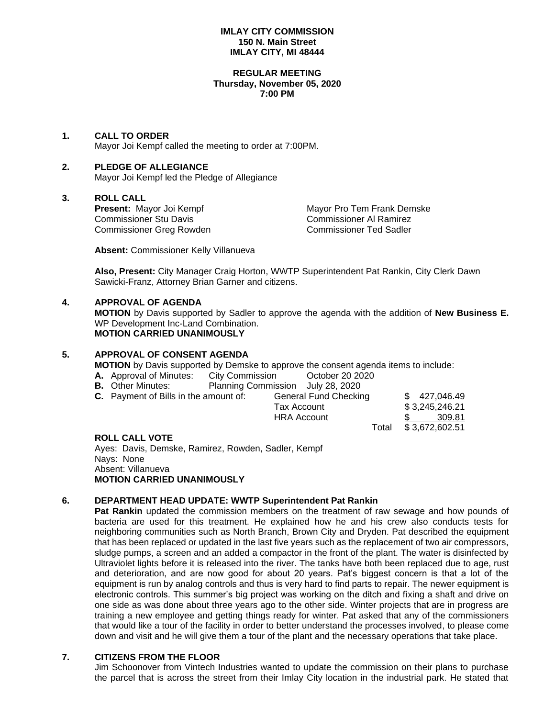## **IMLAY CITY COMMISSION 150 N. Main Street IMLAY CITY, MI 48444**

#### **REGULAR MEETING Thursday, November 05, 2020 7:00 PM**

## **1. CALL TO ORDER**

Mayor Joi Kempf called the meeting to order at 7:00PM.

## **2. PLEDGE OF ALLEGIANCE**

Mayor Joi Kempf led the Pledge of Allegiance

## **3. ROLL CALL**

Commissioner Greg Rowden Commissioner Ted Sadler

**Present:** Mayor Joi Kempf Mayor Pro Tem Frank Demske Commissioner Stu Davis Commissioner Al Ramirez Commissioner Al Ramirez

**Absent:** Commissioner Kelly Villanueva

**Also, Present:** City Manager Craig Horton, WWTP Superintendent Pat Rankin, City Clerk Dawn Sawicki-Franz, Attorney Brian Garner and citizens.

## **4. APPROVAL OF AGENDA**

**MOTION** by Davis supported by Sadler to approve the agenda with the addition of **New Business E.** WP Development Inc-Land Combination. **MOTION CARRIED UNANIMOUSLY**

## **5. APPROVAL OF CONSENT AGENDA**

**MOTION** by Davis supported by Demske to approve the consent agenda items to include:

- **A.** Approval of Minutes: City Commission Cortober 20 2020
- **B.** Other Minutes: Planning Commission July 28, 2020
- **C.** Payment of Bills in the amount of: General Fund Checking \$ 427,046.49 Tax Account \$ 3,245,246.21 HRA Account \$ 309.81

Total \$ 3,672,602.51

## **ROLL CALL VOTE**

Ayes: Davis, Demske, Ramirez, Rowden, Sadler, Kempf Nays: None Absent: Villanueva **MOTION CARRIED UNANIMOUSLY**

# **6. DEPARTMENT HEAD UPDATE: WWTP Superintendent Pat Rankin**

**Pat Rankin** updated the commission members on the treatment of raw sewage and how pounds of bacteria are used for this treatment. He explained how he and his crew also conducts tests for neighboring communities such as North Branch, Brown City and Dryden. Pat described the equipment that has been replaced or updated in the last five years such as the replacement of two air compressors, sludge pumps, a screen and an added a compactor in the front of the plant. The water is disinfected by Ultraviolet lights before it is released into the river. The tanks have both been replaced due to age, rust and deterioration, and are now good for about 20 years. Pat's biggest concern is that a lot of the equipment is run by analog controls and thus is very hard to find parts to repair. The newer equipment is electronic controls. This summer's big project was working on the ditch and fixing a shaft and drive on one side as was done about three years ago to the other side. Winter projects that are in progress are training a new employee and getting things ready for winter. Pat asked that any of the commissioners that would like a tour of the facility in order to better understand the processes involved, to please come down and visit and he will give them a tour of the plant and the necessary operations that take place.

# **7. CITIZENS FROM THE FLOOR**

Jim Schoonover from Vintech Industries wanted to update the commission on their plans to purchase the parcel that is across the street from their Imlay City location in the industrial park. He stated that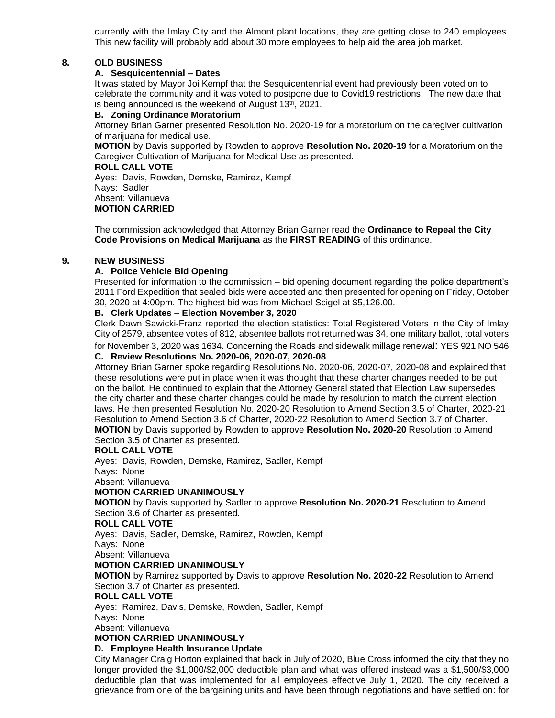currently with the Imlay City and the Almont plant locations, they are getting close to 240 employees. This new facility will probably add about 30 more employees to help aid the area job market.

## **8. OLD BUSINESS**

## **A. Sesquicentennial – Dates**

It was stated by Mayor Joi Kempf that the Sesquicentennial event had previously been voted on to celebrate the community and it was voted to postpone due to Covid19 restrictions. The new date that is being announced is the weekend of August 13<sup>th</sup>, 2021.

#### **B. Zoning Ordinance Moratorium**

Attorney Brian Garner presented Resolution No. 2020-19 for a moratorium on the caregiver cultivation of marijuana for medical use.

**MOTION** by Davis supported by Rowden to approve **Resolution No. 2020-19** for a Moratorium on the Caregiver Cultivation of Marijuana for Medical Use as presented.

**ROLL CALL VOTE**

Ayes: Davis, Rowden, Demske, Ramirez, Kempf Nays: Sadler Absent: Villanueva **MOTION CARRIED**

The commission acknowledged that Attorney Brian Garner read the **Ordinance to Repeal the City Code Provisions on Medical Marijuana** as the **FIRST READING** of this ordinance.

## **9. NEW BUSINESS**

## **A. Police Vehicle Bid Opening**

Presented for information to the commission – bid opening document regarding the police department's 2011 Ford Expedition that sealed bids were accepted and then presented for opening on Friday, October 30, 2020 at 4:00pm. The highest bid was from Michael Scigel at \$5,126.00.

## **B. Clerk Updates – Election November 3, 2020**

Clerk Dawn Sawicki-Franz reported the election statistics: Total Registered Voters in the City of Imlay City of 2579, absentee votes of 812, absentee ballots not returned was 34, one military ballot, total voters for November 3, 2020 was 1634. Concerning the Roads and sidewalk millage renewal: YES 921 NO 546

## **C. Review Resolutions No. 2020-06, 2020-07, 2020-08**

Attorney Brian Garner spoke regarding Resolutions No. 2020-06, 2020-07, 2020-08 and explained that these resolutions were put in place when it was thought that these charter changes needed to be put on the ballot. He continued to explain that the Attorney General stated that Election Law supersedes the city charter and these charter changes could be made by resolution to match the current election laws. He then presented Resolution No. 2020-20 Resolution to Amend Section 3.5 of Charter, 2020-21 Resolution to Amend Section 3.6 of Charter, 2020-22 Resolution to Amend Section 3.7 of Charter. **MOTION** by Davis supported by Rowden to approve **Resolution No. 2020-20** Resolution to Amend Section 3.5 of Charter as presented.

## **ROLL CALL VOTE**

Ayes: Davis, Rowden, Demske, Ramirez, Sadler, Kempf

Nays: None

Absent: Villanueva

## **MOTION CARRIED UNANIMOUSLY**

**MOTION** by Davis supported by Sadler to approve **Resolution No. 2020-21** Resolution to Amend Section 3.6 of Charter as presented.

## **ROLL CALL VOTE**

Ayes: Davis, Sadler, Demske, Ramirez, Rowden, Kempf

Nays: None

Absent: Villanueva

# **MOTION CARRIED UNANIMOUSLY**

**MOTION** by Ramirez supported by Davis to approve **Resolution No. 2020-22** Resolution to Amend Section 3.7 of Charter as presented.

## **ROLL CALL VOTE**

Ayes: Ramirez, Davis, Demske, Rowden, Sadler, Kempf

Nays: None

Absent: Villanueva

# **MOTION CARRIED UNANIMOUSLY**

## **D. Employee Health Insurance Update**

City Manager Craig Horton explained that back in July of 2020, Blue Cross informed the city that they no longer provided the \$1,000/\$2,000 deductible plan and what was offered instead was a \$1,500/\$3,000 deductible plan that was implemented for all employees effective July 1, 2020. The city received a grievance from one of the bargaining units and have been through negotiations and have settled on: for